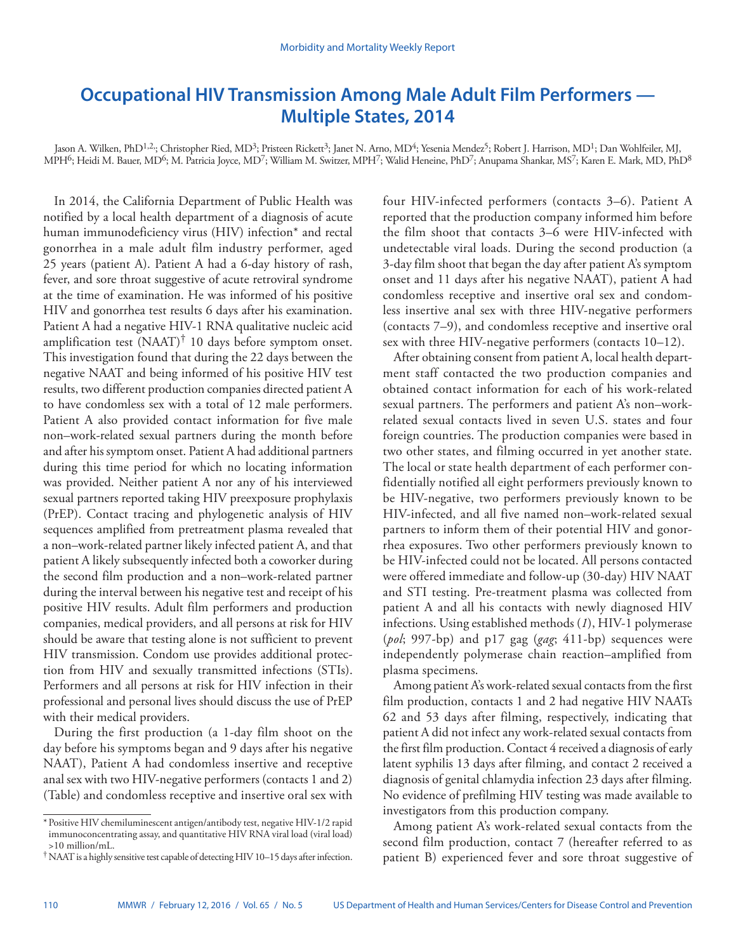# **Occupational HIV Transmission Among Male Adult Film Performers — Multiple States, 2014**

Jason A. Wilken, PhD<sup>1,2,</sup>; Christopher Ried, MD<sup>3</sup>; Pristeen Rickett<sup>3</sup>; Janet N. Arno, MD<sup>4</sup>; Yesenia Mendez<sup>5</sup>; Robert J. Harrison, MD<sup>1</sup>; Dan Wohlfeiler, MJ, MPH<sup>6</sup>; Heidi M. Bauer, MD<sup>6</sup>; M. Patricia Joyce, MD<sup>7</sup>; William M. Switzer, MPH<sup>7</sup>; Walid Heneine, PhD<sup>7</sup>; Anupama Shankar, MS<sup>7</sup>; Karen E. Mark, MD, PhD<sup>8</sup>

In 2014, the California Department of Public Health was notified by a local health department of a diagnosis of acute human immunodeficiency virus (HIV) infection\* and rectal gonorrhea in a male adult film industry performer, aged 25 years (patient A). Patient A had a 6-day history of rash, fever, and sore throat suggestive of acute retroviral syndrome at the time of examination. He was informed of his positive HIV and gonorrhea test results 6 days after his examination. Patient A had a negative HIV-1 RNA qualitative nucleic acid amplification test  $(NAAT)^{\dagger}$  10 days before symptom onset. This investigation found that during the 22 days between the negative NAAT and being informed of his positive HIV test results, two different production companies directed patient A to have condomless sex with a total of 12 male performers. Patient A also provided contact information for five male non–work-related sexual partners during the month before and after his symptom onset. Patient A had additional partners during this time period for which no locating information was provided. Neither patient A nor any of his interviewed sexual partners reported taking HIV preexposure prophylaxis (PrEP). Contact tracing and phylogenetic analysis of HIV sequences amplified from pretreatment plasma revealed that a non–work-related partner likely infected patient A, and that patient A likely subsequently infected both a coworker during the second film production and a non–work-related partner during the interval between his negative test and receipt of his positive HIV results. Adult film performers and production companies, medical providers, and all persons at risk for HIV should be aware that testing alone is not sufficient to prevent HIV transmission. Condom use provides additional protection from HIV and sexually transmitted infections (STIs). Performers and all persons at risk for HIV infection in their professional and personal lives should discuss the use of PrEP with their medical providers.

During the first production (a 1-day film shoot on the day before his symptoms began and 9 days after his negative NAAT), Patient A had condomless insertive and receptive anal sex with two HIV-negative performers (contacts 1 and 2) (Table) and condomless receptive and insertive oral sex with four HIV-infected performers (contacts 3–6). Patient A reported that the production company informed him before the film shoot that contacts 3–6 were HIV-infected with undetectable viral loads. During the second production (a 3-day film shoot that began the day after patient A's symptom onset and 11 days after his negative NAAT), patient A had condomless receptive and insertive oral sex and condomless insertive anal sex with three HIV-negative performers (contacts 7–9), and condomless receptive and insertive oral sex with three HIV-negative performers (contacts 10–12).

After obtaining consent from patient A, local health department staff contacted the two production companies and obtained contact information for each of his work-related sexual partners. The performers and patient A's non–workrelated sexual contacts lived in seven U.S. states and four foreign countries. The production companies were based in two other states, and filming occurred in yet another state. The local or state health department of each performer confidentially notified all eight performers previously known to be HIV-negative, two performers previously known to be HIV-infected, and all five named non–work-related sexual partners to inform them of their potential HIV and gonorrhea exposures. Two other performers previously known to be HIV-infected could not be located. All persons contacted were offered immediate and follow-up (30-day) HIV NAAT and STI testing. Pre-treatment plasma was collected from patient A and all his contacts with newly diagnosed HIV infections. Using established methods (*1*), HIV-1 polymerase (*pol*; 997-bp) and p17 gag (*gag*; 411-bp) sequences were independently polymerase chain reaction–amplified from plasma specimens.

Among patient A's work-related sexual contacts from the first film production, contacts 1 and 2 had negative HIV NAATs 62 and 53 days after filming, respectively, indicating that patient A did not infect any work-related sexual contacts from the first film production. Contact 4 received a diagnosis of early latent syphilis 13 days after filming, and contact 2 received a diagnosis of genital chlamydia infection 23 days after filming. No evidence of prefilming HIV testing was made available to investigators from this production company.

Among patient A's work-related sexual contacts from the second film production, contact 7 (hereafter referred to as patient B) experienced fever and sore throat suggestive of

<sup>\*</sup>Positive HIV chemiluminescent antigen/antibody test, negative HIV-1/2 rapid immunoconcentrating assay, and quantitative HIV RNA viral load (viral load) >10 million/mL.

<sup>†</sup>NAAT is a highly sensitive test capable of detecting HIV 10–15 days after infection.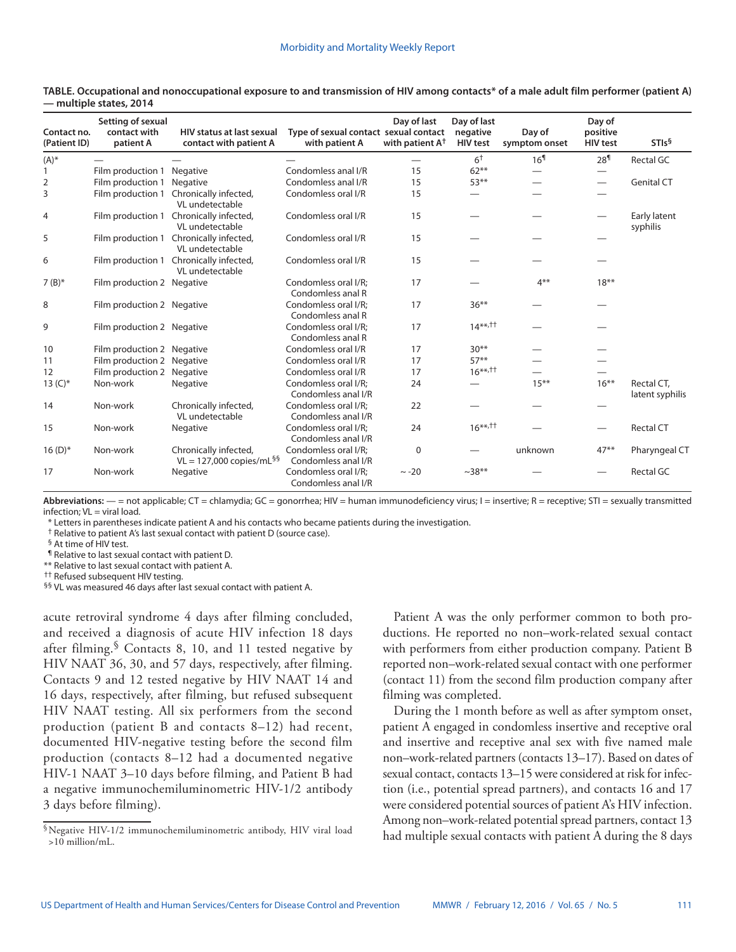| Contact no.<br>(Patient ID) | Setting of sexual<br>contact with<br>patient A | <b>HIV status at last sexual</b><br>contact with patient A      | Type of sexual contact sexual contact<br>with patient A | Day of last<br>with patient A <sup>+</sup> | Day of last<br>negative<br><b>HIV</b> test | Day of<br>symptom onset | Day of<br>positive<br><b>HIV</b> test | STIs <sup>§</sup>             |
|-----------------------------|------------------------------------------------|-----------------------------------------------------------------|---------------------------------------------------------|--------------------------------------------|--------------------------------------------|-------------------------|---------------------------------------|-------------------------------|
| $(A)^*$                     |                                                |                                                                 |                                                         |                                            | 6 <sup>†</sup>                             | 16 <sup>1</sup>         | 28 <sup>1</sup>                       | Rectal GC                     |
|                             | Film production 1                              | Negative                                                        | Condomless anal I/R                                     | 15                                         | $62***$                                    |                         |                                       |                               |
| 2                           | Film production 1                              | Negative                                                        | Condomless anal I/R                                     | 15                                         | $53***$                                    |                         | $\qquad \qquad \longleftarrow$        | <b>Genital CT</b>             |
| 3                           | Film production 1                              | Chronically infected,<br>VL undetectable                        | Condomless oral I/R                                     | 15                                         |                                            |                         |                                       |                               |
| 4                           |                                                | Film production 1 Chronically infected,<br>VL undetectable      | Condomless oral I/R                                     | 15                                         |                                            |                         |                                       | Early latent<br>syphilis      |
| 5                           |                                                | Film production 1 Chronically infected,<br>VL undetectable      | Condomless oral I/R                                     | 15                                         |                                            |                         |                                       |                               |
| 6                           |                                                | Film production 1 Chronically infected,<br>VL undetectable      | Condomless oral I/R                                     | 15                                         |                                            |                         |                                       |                               |
| $7 (B)*$                    | Film production 2 Negative                     |                                                                 | Condomless oral I/R:<br>Condomless anal R               | 17                                         |                                            | $4***$                  | $18***$                               |                               |
| 8                           | Film production 2 Negative                     |                                                                 | Condomless oral I/R;<br>Condomless anal R               | 17                                         | $36***$                                    |                         |                                       |                               |
| 9                           | Film production 2 Negative                     |                                                                 | Condomless oral I/R:<br>Condomless anal R               | 17                                         | $14***,^{\dagger\dagger}$                  |                         |                                       |                               |
| 10                          | Film production 2 Negative                     |                                                                 | Condomless oral I/R                                     | 17                                         | $30**$                                     |                         |                                       |                               |
| 11                          | Film production 2 Negative                     |                                                                 | Condomless oral I/R                                     | 17                                         | $57**$                                     |                         |                                       |                               |
| 12                          | Film production 2 Negative                     |                                                                 | Condomless oral I/R                                     | 17                                         | $16***,11$                                 |                         |                                       |                               |
| 13 $(C)*$                   | Non-work                                       | Negative                                                        | Condomless oral I/R:<br>Condomless anal I/R             | 24                                         |                                            | $15***$                 | $16***$                               | Rectal CT.<br>latent syphilis |
| 14                          | Non-work                                       | Chronically infected,<br>VL undetectable                        | Condomless oral I/R:<br>Condomless anal I/R             | 22                                         |                                            |                         |                                       |                               |
| 15                          | Non-work                                       | Negative                                                        | Condomless oral I/R:<br>Condomless anal I/R             | 24                                         | $16***,^{\dagger}$                         |                         | $\overline{\phantom{0}}$              | <b>Rectal CT</b>              |
| $16(D)*$                    | Non-work                                       | Chronically infected,<br>$VL = 127,000$ copies/mL <sup>§§</sup> | Condomless oral I/R:<br>Condomless anal I/R             | 0                                          |                                            | unknown                 | $47**$                                | Pharyngeal CT                 |
| 17                          | Non-work                                       | Negative                                                        | Condomless oral I/R;<br>Condomless anal I/R             | $\sim -20$                                 | $~238**$                                   |                         |                                       | Rectal GC                     |

**TABLE. Occupational and nonoccupational exposure to and transmission of HIV among contacts\* of a male adult film performer (patient A) — multiple states, 2014**

Abbreviations: - = not applicable; CT = chlamydia; GC = gonorrhea; HIV = human immunodeficiency virus; I = insertive; R = receptive; STI = sexually transmitted infection; VL = viral load.

\* Letters in parentheses indicate patient A and his contacts who became patients during the investigation.

† Relative to patient A's last sexual contact with patient D (source case).

§ At time of HIV test.

¶ Relative to last sexual contact with patient D.

\*\* Relative to last sexual contact with patient A.

†† Refused subsequent HIV testing.

§§ VL was measured 46 days after last sexual contact with patient A.

acute retroviral syndrome 4 days after filming concluded, and received a diagnosis of acute HIV infection 18 days after filming.  $\sqrt[5]{}$  Contacts 8, 10, and 11 tested negative by HIV NAAT 36, 30, and 57 days, respectively, after filming. Contacts 9 and 12 tested negative by HIV NAAT 14 and 16 days, respectively, after filming, but refused subsequent HIV NAAT testing. All six performers from the second production (patient B and contacts 8–12) had recent, documented HIV-negative testing before the second film production (contacts 8–12 had a documented negative HIV-1 NAAT 3–10 days before filming, and Patient B had a negative immunochemiluminometric HIV-1/2 antibody 3 days before filming).

§Negative HIV-1/2 immunochemiluminometric antibody, HIV viral load >10 million/mL.

Patient A was the only performer common to both productions. He reported no non–work-related sexual contact with performers from either production company. Patient B reported non–work-related sexual contact with one performer (contact 11) from the second film production company after filming was completed.

During the 1 month before as well as after symptom onset, patient A engaged in condomless insertive and receptive oral and insertive and receptive anal sex with five named male non–work-related partners (contacts 13–17). Based on dates of sexual contact, contacts 13–15 were considered at risk for infection (i.e., potential spread partners), and contacts 16 and 17 were considered potential sources of patient A's HIV infection. Among non–work-related potential spread partners, contact 13 had multiple sexual contacts with patient A during the 8 days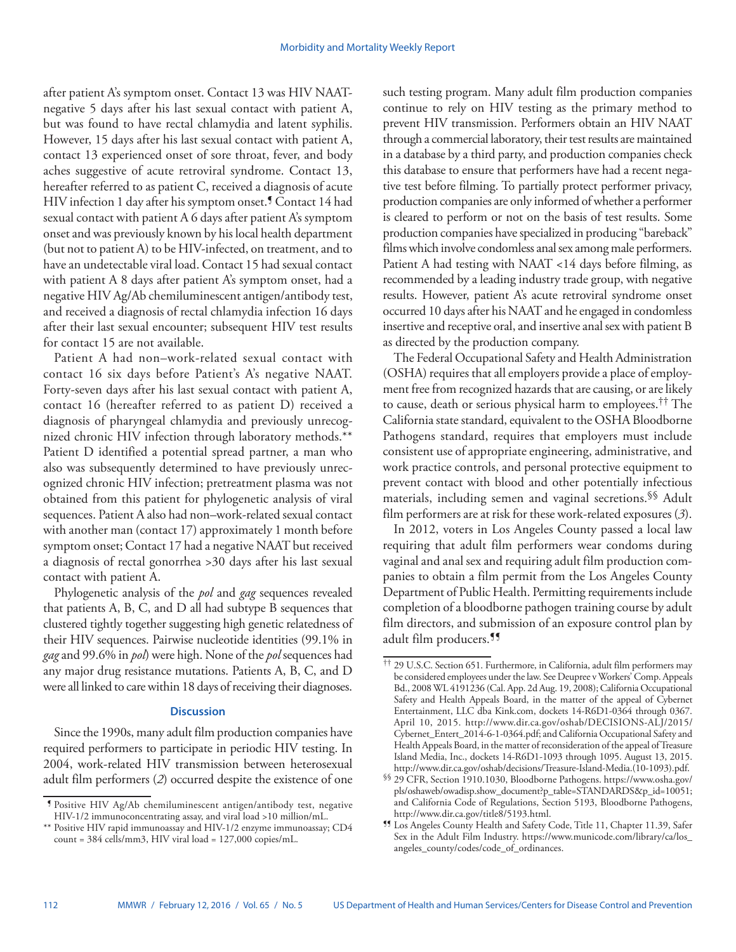after patient A's symptom onset. Contact 13 was HIV NAATnegative 5 days after his last sexual contact with patient A, but was found to have rectal chlamydia and latent syphilis. However, 15 days after his last sexual contact with patient A, contact 13 experienced onset of sore throat, fever, and body aches suggestive of acute retroviral syndrome. Contact 13, hereafter referred to as patient C, received a diagnosis of acute HIV infection 1 day after his symptom onset.<sup>9</sup> Contact 14 had sexual contact with patient A 6 days after patient A's symptom onset and was previously known by his local health department (but not to patient A) to be HIV-infected, on treatment, and to have an undetectable viral load. Contact 15 had sexual contact with patient A 8 days after patient A's symptom onset, had a negative HIV Ag/Ab chemiluminescent antigen/antibody test, and received a diagnosis of rectal chlamydia infection 16 days after their last sexual encounter; subsequent HIV test results for contact 15 are not available.

Patient A had non–work-related sexual contact with contact 16 six days before Patient's A's negative NAAT. Forty-seven days after his last sexual contact with patient A, contact 16 (hereafter referred to as patient D) received a diagnosis of pharyngeal chlamydia and previously unrecognized chronic HIV infection through laboratory methods.\*\* Patient D identified a potential spread partner, a man who also was subsequently determined to have previously unrecognized chronic HIV infection; pretreatment plasma was not obtained from this patient for phylogenetic analysis of viral sequences. Patient A also had non–work-related sexual contact with another man (contact 17) approximately 1 month before symptom onset; Contact 17 had a negative NAAT but received a diagnosis of rectal gonorrhea >30 days after his last sexual contact with patient A.

Phylogenetic analysis of the *pol* and *gag* sequences revealed that patients A, B, C, and D all had subtype B sequences that clustered tightly together suggesting high genetic relatedness of their HIV sequences. Pairwise nucleotide identities (99.1% in *gag* and 99.6% in *pol*) were high. None of the *pol* sequences had any major drug resistance mutations. Patients A, B, C, and D were all linked to care within 18 days of receiving their diagnoses.

# **Discussion**

Since the 1990s, many adult film production companies have required performers to participate in periodic HIV testing. In 2004, work-related HIV transmission between heterosexual adult film performers (*2*) occurred despite the existence of one such testing program. Many adult film production companies continue to rely on HIV testing as the primary method to prevent HIV transmission. Performers obtain an HIV NAAT through a commercial laboratory, their test results are maintained in a database by a third party, and production companies check this database to ensure that performers have had a recent negative test before filming. To partially protect performer privacy, production companies are only informed of whether a performer is cleared to perform or not on the basis of test results. Some production companies have specialized in producing "bareback" films which involve condomless anal sex among male performers. Patient A had testing with NAAT <14 days before filming, as recommended by a leading industry trade group, with negative results. However, patient A's acute retroviral syndrome onset occurred 10 days after his NAAT and he engaged in condomless insertive and receptive oral, and insertive anal sex with patient B as directed by the production company.

The Federal Occupational Safety and Health Administration (OSHA) requires that all employers provide a place of employment free from recognized hazards that are causing, or are likely to cause, death or serious physical harm to employees.†† The California state standard, equivalent to the OSHA Bloodborne Pathogens standard, requires that employers must include consistent use of appropriate engineering, administrative, and work practice controls, and personal protective equipment to prevent contact with blood and other potentially infectious materials, including semen and vaginal secretions.<sup>§§</sup> Adult film performers are at risk for these work-related exposures (*3*).

In 2012, voters in Los Angeles County passed a local law requiring that adult film performers wear condoms during vaginal and anal sex and requiring adult film production companies to obtain a film permit from the Los Angeles County Department of Public Health. Permitting requirements include completion of a bloodborne pathogen training course by adult film directors, and submission of an exposure control plan by adult film producers.¶¶

<sup>¶</sup> Positive HIV Ag/Ab chemiluminescent antigen/antibody test, negative HIV-1/2 immunoconcentrating assay, and viral load >10 million/mL.

<sup>\*\*</sup> Positive HIV rapid immunoassay and HIV-1/2 enzyme immunoassay; CD4 count = 384 cells/mm3, HIV viral load = 127,000 copies/mL.

<sup>††</sup> 29 U.S.C. Section 651. Furthermore, in California, adult film performers may be considered employees under the law. See Deupree v Workers' Comp. Appeals Bd., 2008 WL 4191236 (Cal. App. 2d Aug. 19, 2008); California Occupational Safety and Health Appeals Board, in the matter of the appeal of Cybernet Entertainment, LLC dba Kink.com, dockets 14-R6D1-0364 through 0367. April 10, 2015. [http://www.dir.ca.gov/oshab/DECISIONS-ALJ/2015/](http://www.dir.ca.gov/oshab/DECISIONS-ALJ/2015/Cybernet_Entert_2014-6-1-0364.pdf) [Cybernet\\_Entert\\_2014-6-1-0364.pdf](http://www.dir.ca.gov/oshab/DECISIONS-ALJ/2015/Cybernet_Entert_2014-6-1-0364.pdf); and California Occupational Safety and Health Appeals Board, in the matter of reconsideration of the appeal of Treasure Island Media, Inc., dockets 14-R6D1-1093 through 1095. August 13, 2015.

<sup>§§ 29</sup> CFR, Section 1910.1030, Bloodborne Pathogens. [https://www.osha.gov/](https://www.osha.gov/pls/oshaweb/owadisp.show_document?p_table=STANDARDS&p_id=10051) [pls/oshaweb/owadisp.show\\_document?p\\_table=STANDARDS&p\\_id=10051](https://www.osha.gov/pls/oshaweb/owadisp.show_document?p_table=STANDARDS&p_id=10051); and California Code of Regulations, Section 5193, Bloodborne Pathogens,

<sup>11</sup> Los Angeles County Health and Safety Code, Title 11, Chapter 11.39, Safer Sex in the Adult Film Industry. [https://www.municode.com/library/ca/los\\_](https://www.municode.com/library/ca/los_angeles_county/codes/code_of_ordinances) [angeles\\_county/codes/code\\_of\\_ordinances](https://www.municode.com/library/ca/los_angeles_county/codes/code_of_ordinances).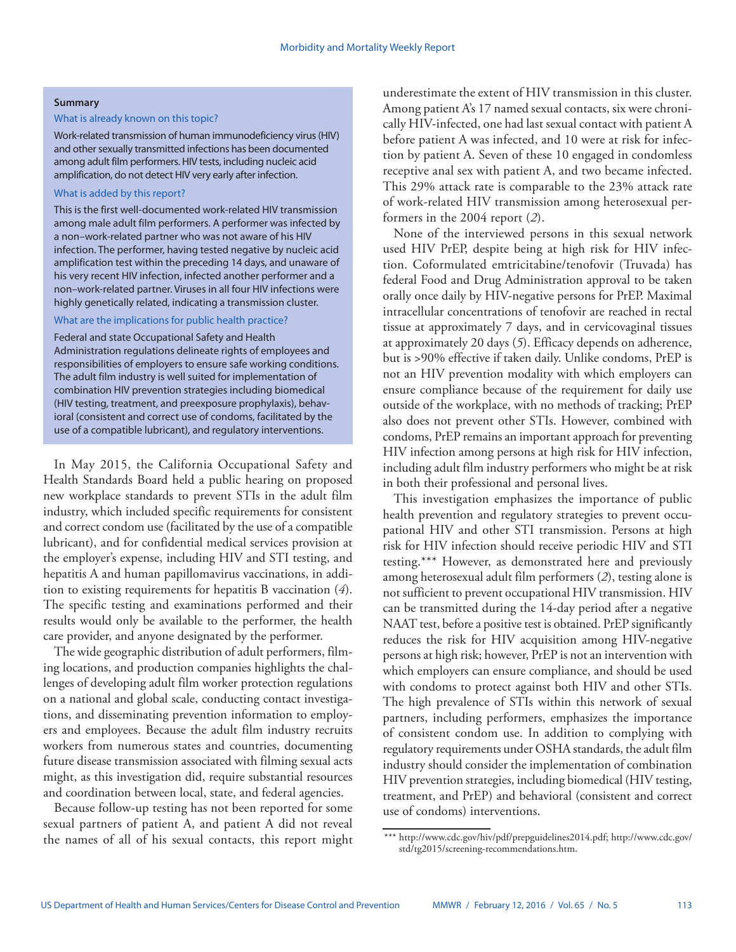#### **Summary**

#### What is already known on this topic?

Work-related transmission of human immunodeficiency virus (HIV) and other sexually transmitted infections has been documented among adult film performers. HIV tests, including nucleic acid amplification, do not detect HIV very early after infection.

# What is added by this report?

This is the first well-documented work-related HIV transmission among male adult film performers. A performer was infected by a non–work-related partner who was not aware of his HIV infection. The performer, having tested negative by nucleic acid amplification test within the preceding 14 days, and unaware of his very recent HIV infection, infected another performer and a non–work-related partner. Viruses in all four HIV infections were highly genetically related, indicating a transmission cluster.

# What are the implications for public health practice?

Federal and state Occupational Safety and Health Administration regulations delineate rights of employees and responsibilities of employers to ensure safe working conditions. The adult film industry is well suited for implementation of combination HIV prevention strategies including biomedical (HIV testing, treatment, and preexposure prophylaxis), behavioral (consistent and correct use of condoms, facilitated by the use of a compatible lubricant), and regulatory interventions.

In May 2015, the California Occupational Safety and Health Standards Board held a public hearing on proposed new workplace standards to prevent STIs in the adult film industry, which included specific requirements for consistent and correct condom use (facilitated by the use of a compatible lubricant), and for confidential medical services provision at the employer's expense, including HIV and STI testing, and hepatitis A and human papillomavirus vaccinations, in addition to existing requirements for hepatitis B vaccination (*4*). The specific testing and examinations performed and their results would only be available to the performer, the health care provider, and anyone designated by the performer.

The wide geographic distribution of adult performers, filming locations, and production companies highlights the challenges of developing adult film worker protection regulations on a national and global scale, conducting contact investigations, and disseminating prevention information to employers and employees. Because the adult film industry recruits workers from numerous states and countries, documenting future disease transmission associated with filming sexual acts might, as this investigation did, require substantial resources and coordination between local, state, and federal agencies.

Because follow-up testing has not been reported for some sexual partners of patient A, and patient A did not reveal the names of all of his sexual contacts, this report might underestimate the extent of HIV transmission in this cluster. Among patient A's 17 named sexual contacts, six were chronically HIV-infected, one had last sexual contact with patient A before patient A was infected, and 10 were at risk for infection by patient A. Seven of these 10 engaged in condomless receptive anal sex with patient A, and two became infected. This 29% attack rate is comparable to the 23% attack rate of work-related HIV transmission among heterosexual performers in the 2004 report (*2*).

None of the interviewed persons in this sexual network used HIV PrEP, despite being at high risk for HIV infection. Coformulated emtricitabine/tenofovir (Truvada) has federal Food and Drug Administration approval to be taken orally once daily by HIV-negative persons for PrEP. Maximal intracellular concentrations of tenofovir are reached in rectal tissue at approximately 7 days, and in cervicovaginal tissues at approximately 20 days (*5*). Efficacy depends on adherence, but is >90% effective if taken daily. Unlike condoms, PrEP is not an HIV prevention modality with which employers can ensure compliance because of the requirement for daily use outside of the workplace, with no methods of tracking; PrEP also does not prevent other STIs. However, combined with condoms, PrEP remains an important approach for preventing HIV infection among persons at high risk for HIV infection, including adult film industry performers who might be at risk in both their professional and personal lives.

This investigation emphasizes the importance of public health prevention and regulatory strategies to prevent occupational HIV and other STI transmission. Persons at high risk for HIV infection should receive periodic HIV and STI testing.\*\*\* However, as demonstrated here and previously among heterosexual adult film performers (*2*), testing alone is not sufficient to prevent occupational HIV transmission. HIV can be transmitted during the 14-day period after a negative NAAT test, before a positive test is obtained. PrEP significantly reduces the risk for HIV acquisition among HIV-negative persons at high risk; however, PrEP is not an intervention with which employers can ensure compliance, and should be used with condoms to protect against both HIV and other STIs. The high prevalence of STIs within this network of sexual partners, including performers, emphasizes the importance of consistent condom use. In addition to complying with regulatory requirements under OSHA standards, the adult film industry should consider the implementation of combination HIV prevention strategies, including biomedical (HIV testing, treatment, and PrEP) and behavioral (consistent and correct use of condoms) interventions.

<sup>\*\*\*</sup> <http://www.cdc.gov/hiv/pdf/prepguidelines2014.pdf>; [http://www.cdc.gov/](http://www.cdc.gov/std/tg2015/screening-recommendations.htm) [std/tg2015/screening-recommendations.htm.](http://www.cdc.gov/std/tg2015/screening-recommendations.htm)